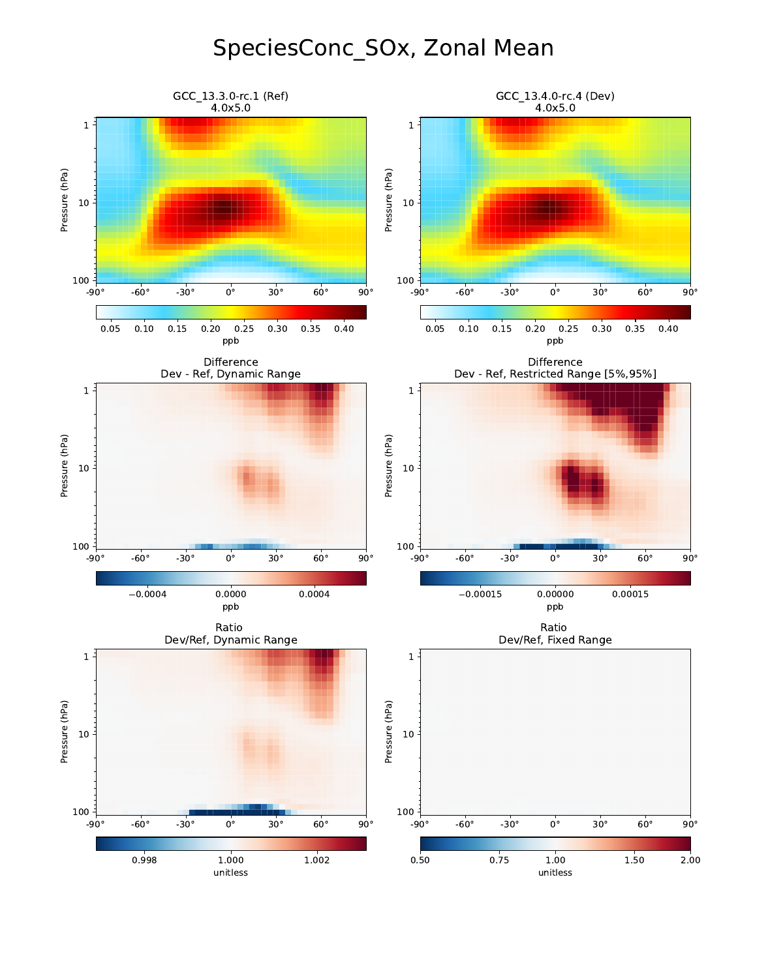# SpeciesConc\_SOx, Zonal Mean

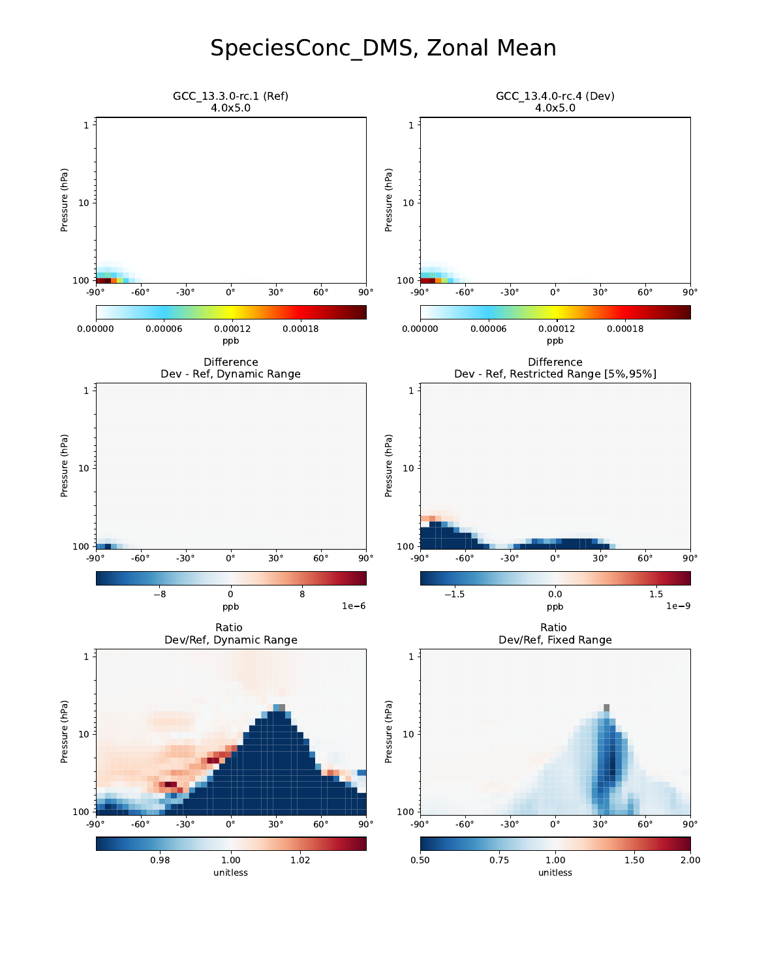# SpeciesConc\_DMS, Zonal Mean

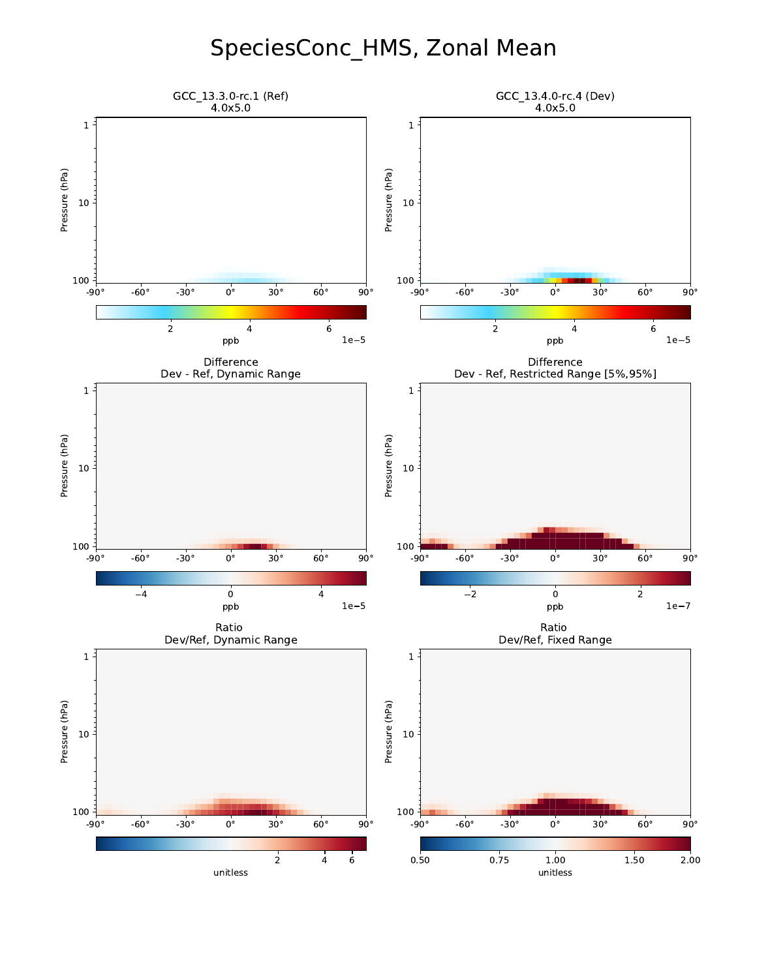# SpeciesConc\_HMS, Zonal Mean

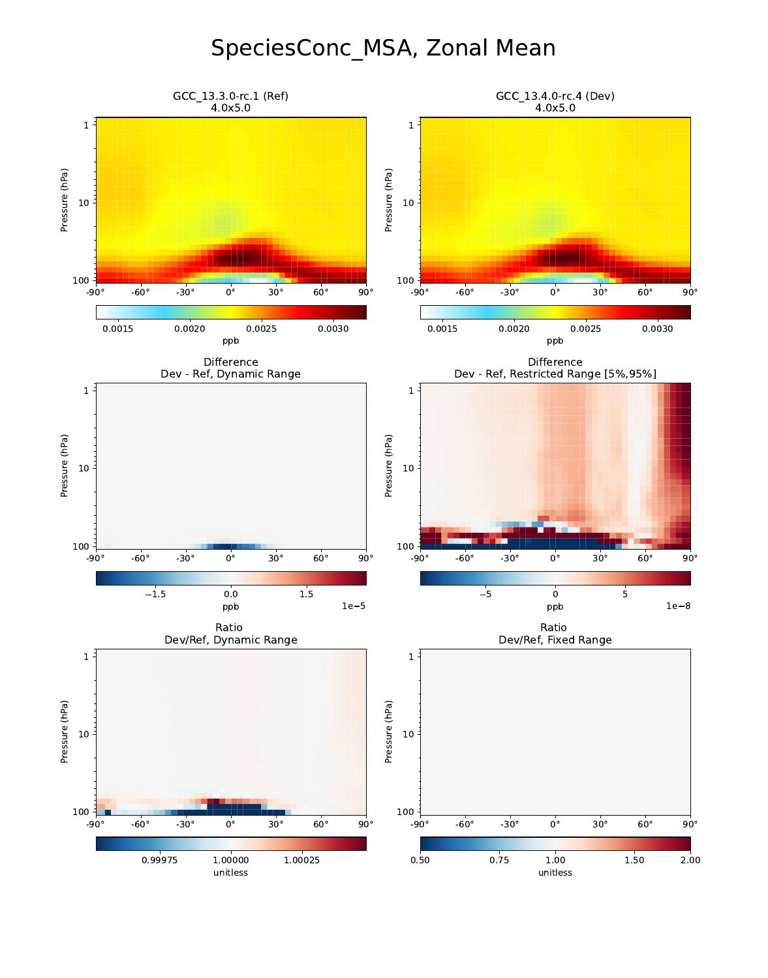#### SpeciesConc\_MSA, Zonal Mean

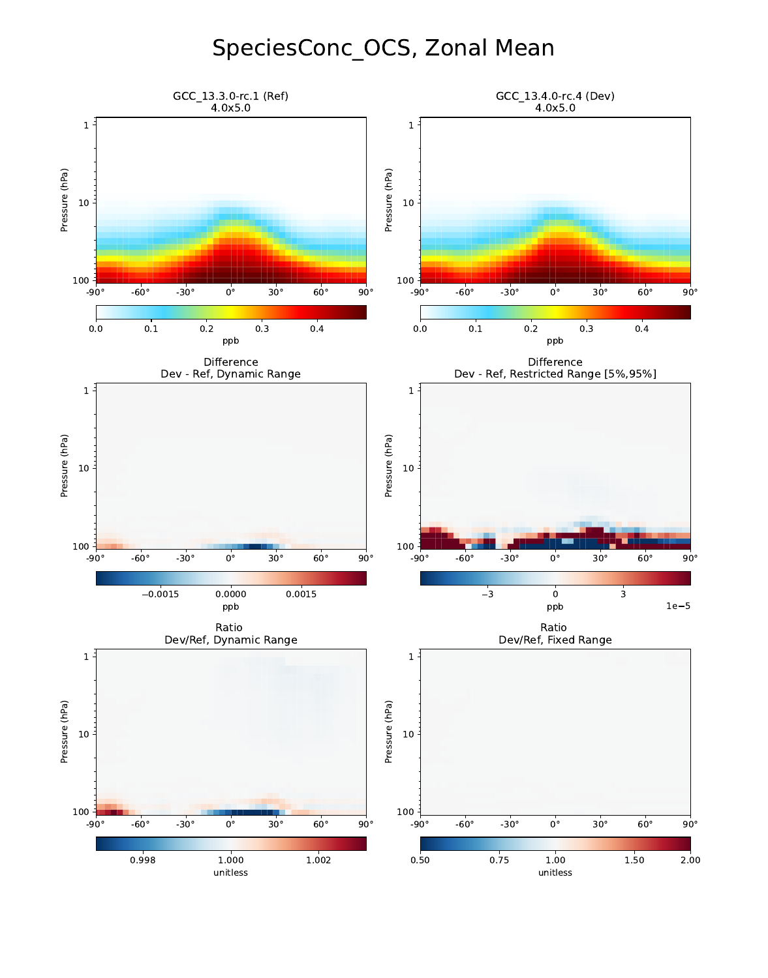# SpeciesConc\_OCS, Zonal Mean

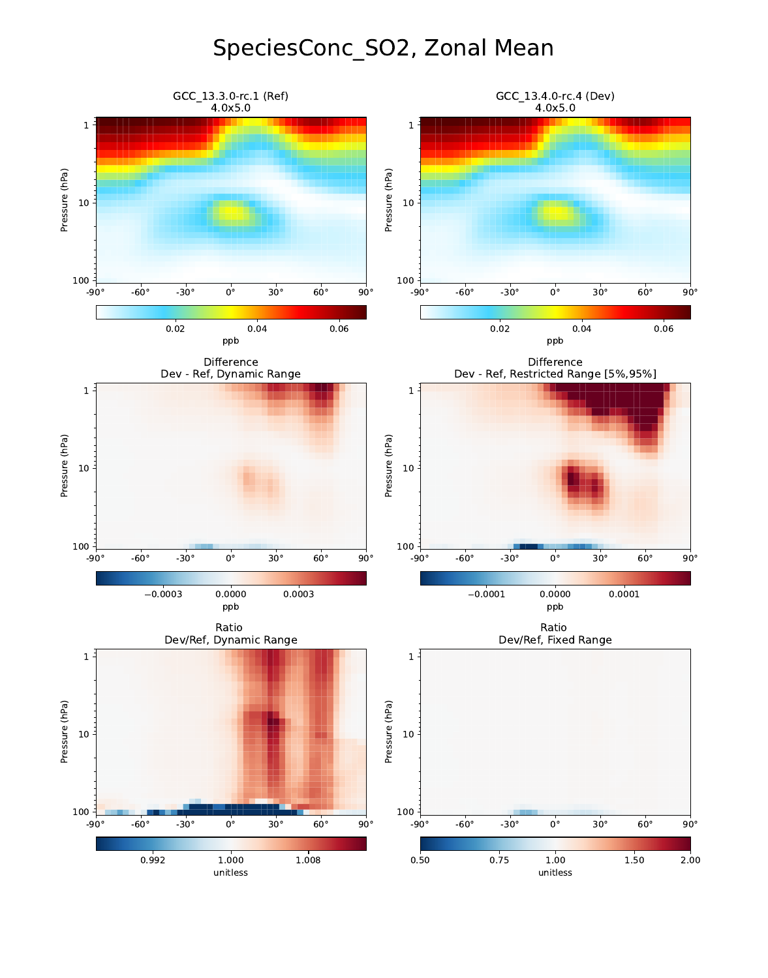# SpeciesConc\_SO2, Zonal Mean